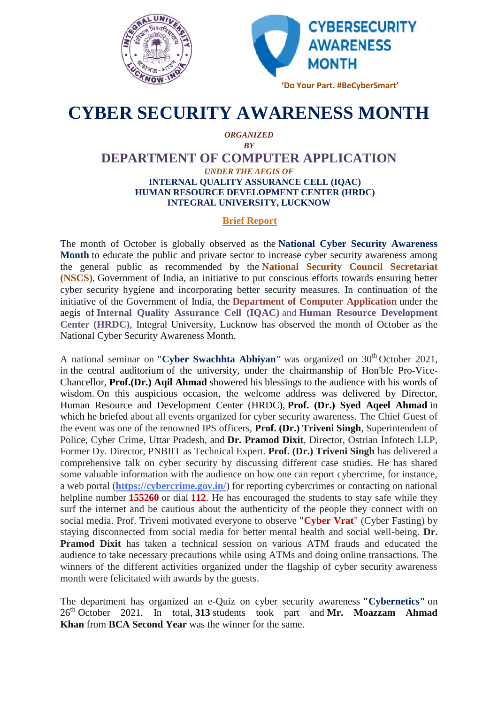



## **CYBER SECURITY AWARENESS MONTH CYBER**

## *ORGANIZED BY*

## **DEPARTMENT OF COMPUTER APPLICATION** *UNDER THE AEGIS OF* **INTERNAL QUALITY ASSURANCE CELL (IQAC)**

**HUMAN RESOURCE DEVELOPMENT CENTER (HRDC)**<br>INTEGRAL UNIVERSITY, LUCKNOW **INTEGRAL UNIVERSITY, LUCKNOW**

## **Brief Report**

The month of October is globally observed as the **National Cyber Security Awareness Month** to educate the public and private sector to increase cyber security awareness among the general public as recommended by the **National Security Council Secretariat (NSCS)**, Government of India, an initiative to put conscious efforts towards ensuring better cyber security hygiene and incorporating better security measures. In continuation of the initiative of the Government of India, the **Department of Computer Application** under the aegis of Internal Quality Assurance Cell (IQAC) and Human Resource Development **Center (HRDC)**, Integral University, Lucknow has observed the month of October as the National Cyber Security Awareness Month. Center (HRDC), Integral University, Lucknow has observed the month of October as the National Cyber Security Awareness Month.<br>A national seminar on **"Cyber Swachhta Abhiyan"** was organized on 30<sup>th</sup> October 2021, The month of October is globally observed as **Month** to educate the public and private sector the general public as recommended by the (NSCS), Government of India, an initiative to pucyber security hygiene and incorporatin

in the central auditorium of the university, under the chairmanship of Hon'ble Pro-Vice-Chancellor, **Prof.(Dr.)** Aqil Ahmad showered his blessings to the audience with his words of wisdom. On this auspicious occasion, the welcome address was delivered by Director, wisdom. On this auspicious occasion, the welcome address was delivered by Director, Human Resource and Development Center (HRDC), **Prof.** (Dr.) Syed Aqeel Ahmad in which he briefed about all events organized for cyber security awareness. The Chief Guest of the event was one of the renowned IPS officers, Prof. (Dr.) Triveni Singh, Superintendent of Police, Cyber Crime, Uttar Pradesh, and **Dr. Pramod Dixit**, Director, Ostrian Infotech LLP, Police, Cyber Crime, Uttar Pradesh, and **Dr. Pramod Dixit**, Director, Ostrian Infotech LLP, Former Dy. Director, PNBIIT as Technical Expert. Prof. (Dr.) Triveni Singh has delivered a comprehensive talk on cyber security by discussing different case studies. He has shared some valuable information with the audience on how one can report cybercrime, for instance, a web portal (**https://cybercrime.gov.in/**) for reporting cybercrimes or contacting on national helpline number **155260** or dial **112**. He has encouraged the students to stay safe while they surf the internet and be cautious about the authenticity of the people they connect with on social media. Prof. Triveni motivated everyone to observe "**Cyber Vrat**" (Cyber Fasting) by staying disconnected from social media for better mental health and social well-being. Dr. **Pramod Dixit** has taken a technical session on various ATM frauds and educated the audience to take necessary precautions while using ATMs and doing online transactions. The winners of the different activities organized under the flagship of cyber security awareness month were felicitated with awards by the guests. ehensive talk on cyber security by discussing different case studies. He has shared valuable information with the audience on how one can report cybercrime, for instance, portal (**https://cybercrime.gov.in/**) for reporting 155260 or dial 112. He has encouraged the students to stay safe while they<br>and be cautious about the authenticity of the people they connect with on<br>f. Triveni motivated everyone to observe "Cyber Vrat" (Cyber Fasting) by **Pramod Dixit** has taken a technical session on various ATM frauds and educated the audience to take necessary precautions while using ATMs and doing online transactions. The winners of the different activities organized u e cautious about the authenticity of the<br>veni motivated everyone to observe "Cy<br>rom social media for better mental hea<br>ken a technical session on various A<br>lary precautions while using ATMs and<br>the activities organized und

The department has organized an e-Quiz on cyber security awareness **"Cybernetics"** on 26th October 2021. In total, **313** students took part and **Mr. Moazzam Ahmad Khan** from **BCA Second Year** was the winner for the same.